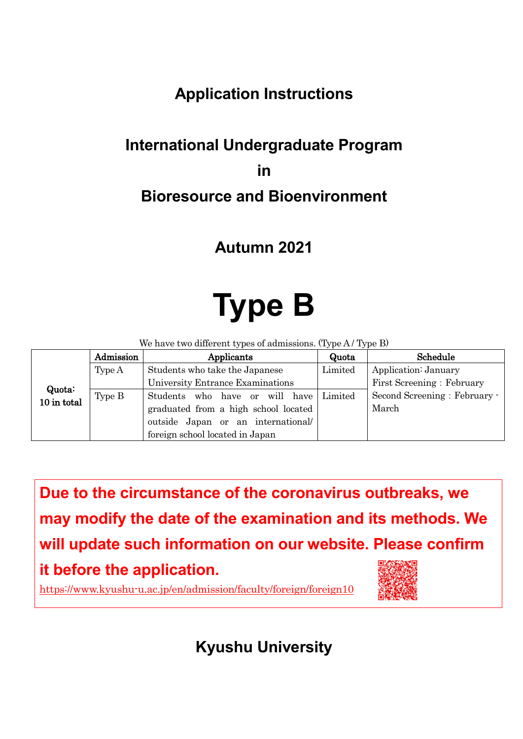# **Application Instructions**

# **International Undergraduate Program in Bioresource and Bioenvironment**

# **Autumn 2021**

# **Type B**

We have two different types of admissions. (Type A / Type B)

|                       | Admission | Applicants                           | Quota   | Schedule                     |
|-----------------------|-----------|--------------------------------------|---------|------------------------------|
|                       | Type A    | Students who take the Japanese       | Limited | Application: January         |
|                       |           | University Entrance Examinations     |         | First Screening: February    |
| Quota:<br>10 in total | Type B    | Students who have or will have       | Limited | Second Screening: February - |
|                       |           | graduated from a high school located |         | March                        |
|                       |           | outside Japan or an international    |         |                              |
|                       |           | foreign school located in Japan      |         |                              |

**Due to the circumstance of the coronavirus outbreaks, we may modify the date of the examination and its methods. We will update such information on our website. Please confirm it before the application.**



<https://www.kyushu-u.ac.jp/en/admission/faculty/foreign/foreign10>

**Kyushu University**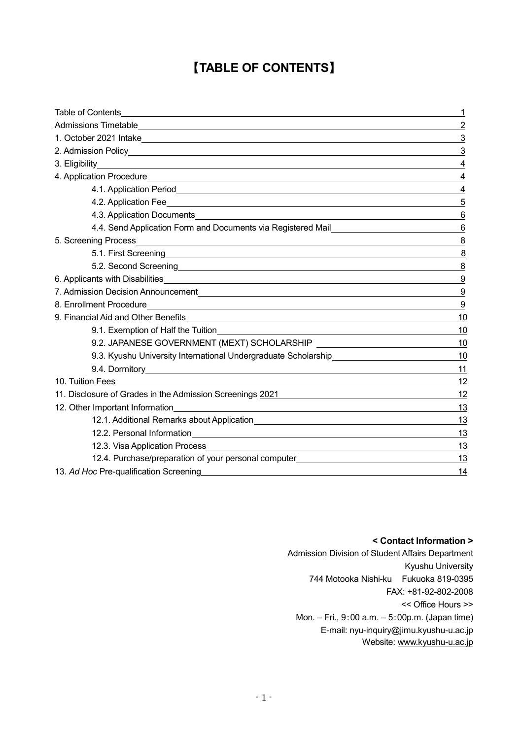# 【**TABLE OF CONTENTS**】

| Table of Contents                                                                                                                                                                                                                    | 1                |
|--------------------------------------------------------------------------------------------------------------------------------------------------------------------------------------------------------------------------------------|------------------|
|                                                                                                                                                                                                                                      | $\overline{2}$   |
|                                                                                                                                                                                                                                      | 3                |
|                                                                                                                                                                                                                                      | 3                |
|                                                                                                                                                                                                                                      | 4                |
|                                                                                                                                                                                                                                      | $\overline{4}$   |
|                                                                                                                                                                                                                                      | 4                |
|                                                                                                                                                                                                                                      | 5                |
|                                                                                                                                                                                                                                      | 6                |
| 4.4. Send Application Form and Documents via Registered Mail<br>1998: The Mail                                                                                                                                                       | $\,6$            |
|                                                                                                                                                                                                                                      | 8                |
| 5.1. First Screening <b>Executive Contract Contract Contract Contract Contract Contract Contract Contract Contract Contract Contract Contract Contract Contract Contract Contract Contract Contract Contract Contract Contract C</b> | 8                |
| 5.2. Second Screening <b>Constantine Construction</b> Constant Construction Construction Construction Construction Construction Construction Construction Construction Construction Construction Construction Construction Construc  | 8                |
| 6. Applicants with Disabilities <b>Constantine Constantine Constantine Constantine Constantine Constantine Constantine Constantine Constantine Constantine Constantine Constantine Constantine Constantine Constantine Constanti</b> | 9                |
|                                                                                                                                                                                                                                      | $\boldsymbol{9}$ |
|                                                                                                                                                                                                                                      | 9                |
| 9. Financial Aid and Other Benefits                                                                                                                                                                                                  | 10               |
|                                                                                                                                                                                                                                      | 10               |
|                                                                                                                                                                                                                                      | 10               |
| 9.3. Kyushu University International Undergraduate Scholarship                                                                                                                                                                       | 10               |
|                                                                                                                                                                                                                                      | 11               |
|                                                                                                                                                                                                                                      | 12               |
| 11. Disclosure of Grades in the Admission Screenings 2021 [2010]                                                                                                                                                                     | 12               |
| 12. Other Important Information<br><u> 1980 - John Stein, mars and de Britain Born Stein, actor and de Britain Born Stein Born Stein Born Stein Born</u>                                                                             | 13               |
|                                                                                                                                                                                                                                      | 13               |
|                                                                                                                                                                                                                                      | 13               |
|                                                                                                                                                                                                                                      | 13               |
| 12.4. Purchase/preparation of your personal computer____________________________                                                                                                                                                     | 13               |
| 13. Ad Hoc Pre-qualification Screening                                                                                                                                                                                               |                  |

#### **< Contact Information >**

Admission Division of Student Affairs Department Kyushu University 744 Motooka Nishi-ku Fukuoka 819-0395 FAX: +81-92-802-2008 << Office Hours >> Mon. – Fri., 9:00 a.m. – 5:00p.m. (Japan time) E-mail: nyu-inquiry@jimu.kyushu-u.ac.jp Website[: www.kyushu-u.ac.jp](http://www.kyushu-u.ac.jp/)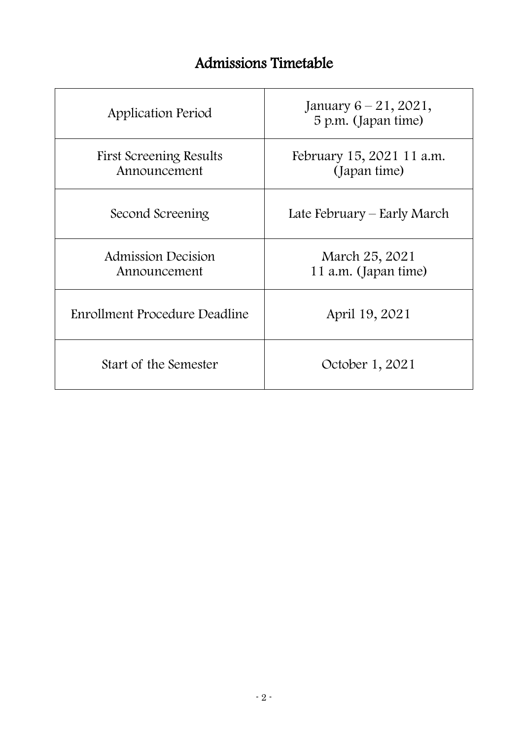# Admissions Timetable

| Application Period                      | January $6 - 21$ , 2021,<br>5 p.m. (Japan time) |
|-----------------------------------------|-------------------------------------------------|
| First Screening Results<br>Announcement | February 15, 2021 11 a.m.<br>(Japan time)       |
| Second Screening                        | Late February – Early March                     |
| Admission Decision<br>Announcement      | March 25, 2021<br>11 a.m. (Japan time)          |
| Enrollment Procedure Deadline           | April 19, 2021                                  |
| Start of the Semester                   | October 1, 2021                                 |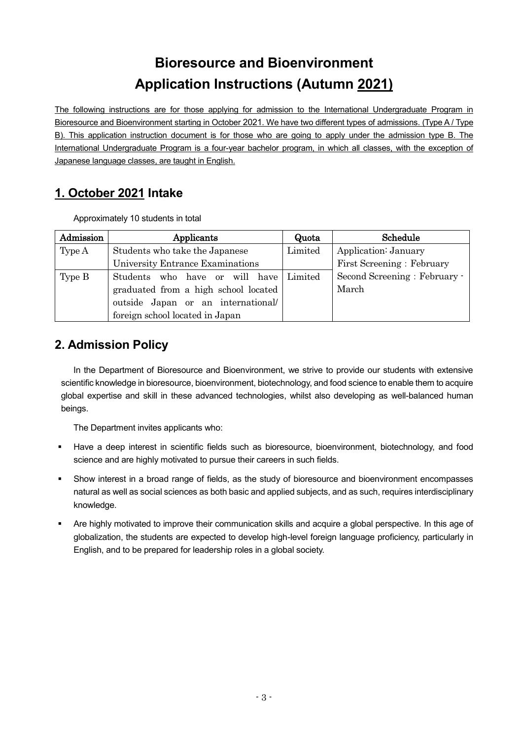# **Bioresource and Bioenvironment Application Instructions (Autumn 2021)**

The following instructions are for those applying for admission to the International Undergraduate Program in Bioresource and Bioenvironment starting in October 2021. We have two different types of admissions. (Type A / Type B). This application instruction document is for those who are going to apply under the admission type B. The International Undergraduate Program is a four-year bachelor program, in which all classes, with the exception of Japanese language classes, are taught in English.

# **1. October 2021 Intake**

Approximately 10 students in total

| Admission | Applicants                           | Quota   | Schedule                     |
|-----------|--------------------------------------|---------|------------------------------|
| Type A    | Students who take the Japanese       | Limited | Application: January         |
|           | University Entrance Examinations     |         | First Screening: February    |
| Type B    | Students who have or will have       | Limited | Second Screening: February - |
|           | graduated from a high school located |         | March                        |
|           | outside Japan or an international    |         |                              |
|           | foreign school located in Japan      |         |                              |

# **2. Admission Policy**

In the Department of Bioresource and Bioenvironment, we strive to provide our students with extensive scientific knowledge in bioresource, bioenvironment, biotechnology, and food science to enable them to acquire global expertise and skill in these advanced technologies, whilst also developing as well-balanced human beings.

The Department invites applicants who:

- Have a deep interest in scientific fields such as bioresource, bioenvironment, biotechnology, and food science and are highly motivated to pursue their careers in such fields.
- Show interest in a broad range of fields, as the study of bioresource and bioenvironment encompasses natural as well as social sciences as both basic and applied subjects, and as such, requires interdisciplinary knowledge.
- Are highly motivated to improve their communication skills and acquire a global perspective. In this age of globalization, the students are expected to develop high-level foreign language proficiency, particularly in English, and to be prepared for leadership roles in a global society.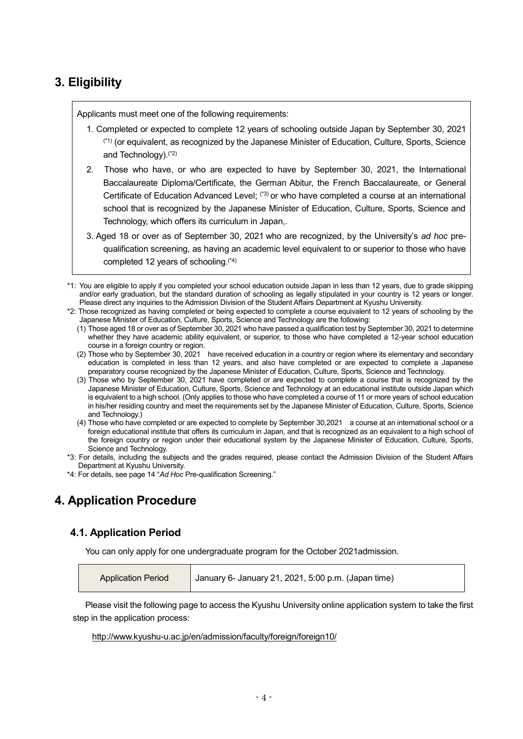# **3. Eligibility**

Applicants must meet one of the following requirements:

- 1. Completed or expected to complete 12 years of schooling outside Japan by September 30, 2021 (\*1) (or equivalent, as recognized by the Japanese Minister of Education, Culture, Sports, Science and Technology).(\*2)
- 2. Those who have, or who are expected to have by September 30, 2021, the International Baccalaureate Diploma/Certificate, the German Abitur, the French Baccalaureate, or General Certificate of Education Advanced Level; <sup>(\*3)</sup> or who have completed a course at an international school that is recognized by the Japanese Minister of Education, Culture, Sports, Science and Technology, which offers its curriculum in Japan,.
- 3. Aged 18 or over as of September 30, 2021 who are recognized, by the University's *ad hoc* prequalification screening, as having an academic level equivalent to or superior to those who have completed 12 years of schooling. (\*4)
- \*1: You are eligible to apply if you completed your school education outside Japan in less than 12 years, due to grade skipping and/or early graduation, but the standard duration of schooling as legally stipulated in your country is 12 years or longer. Please direct any inquiries to the Admission Division of the Student Affairs Department at Kyushu University.
- \*2: Those recognized as having completed or being expected to complete a course equivalent to 12 years of schooling by the Japanese Minister of Education, Culture, Sports, Science and Technology are the following:
	- (1) Those aged 18 or over as of September 30, 2021 who have passed a qualification test by September 30, 2021 to determine whether they have academic ability equivalent, or superior, to those who have completed a 12-year school education course in a foreign country or region.
	- (2) Those who by September 30, 2021 have received education in a country or region where its elementary and secondary education is completed in less than 12 years, and also have completed or are expected to complete a Japanese preparatory course recognized by the Japanese Minister of Education, Culture, Sports, Science and Technology.
	- (3) Those who by September 30, 2021 have completed or are expected to complete a course that is recognized by the Japanese Minister of Education, Culture, Sports, Science and Technology at an educational institute outside Japan which is equivalent to a high school. (Only applies to those who have completed a course of 11 or more years of school education in his/her residing country and meet the requirements set by the Japanese Minister of Education, Culture, Sports, Science and Technology.)
	- (4) Those who have completed or are expected to complete by September 30,2021 a course at an international school or a foreign educational institute that offers its curriculum in Japan, and that is recognized as an equivalent to a high school of the foreign country or region under their educational system by the Japanese Minister of Education, Culture, Sports, Science and Technology.
- \*3: For details, including the subjects and the grades required, please contact the Admission Division of the Student Affairs Department at Kyushu University.
- \*4: For details, see page 14 "*Ad Hoc* Pre-qualification Screening."

# **4. Application Procedure**

#### **4.1. Application Period**

You can only apply for one undergraduate program for the October 2021admission.

| January 6- January 21, 2021, 5:00 p.m. (Japan time)<br><b>Application Period</b> |  |
|----------------------------------------------------------------------------------|--|
|----------------------------------------------------------------------------------|--|

Please visit the following page to access the Kyushu University online application system to take the first step in the application process:

<http://www.kyushu-u.ac.jp/en/admission/faculty/foreign/foreign10/>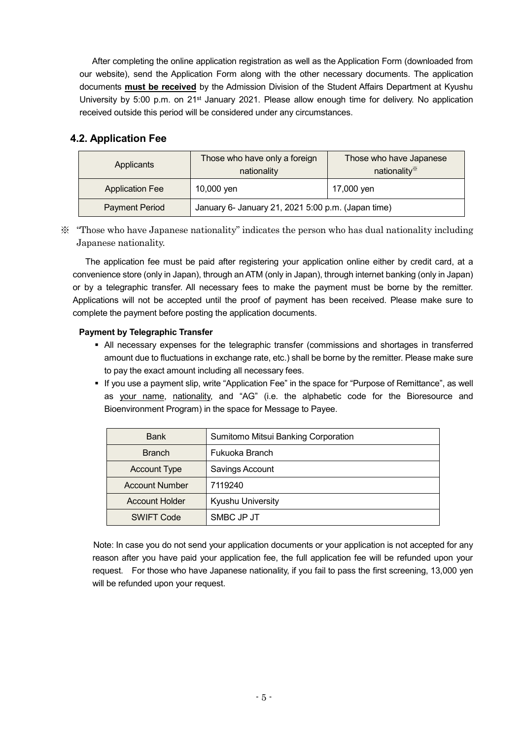After completing the online application registration as well as the Application Form (downloaded from our website), send the Application Form along with the other necessary documents. The application documents **must be received** by the Admission Division of the Student Affairs Department at Kyushu University by 5:00 p.m. on 21<sup>st</sup> January 2021. Please allow enough time for delivery. No application received outside this period will be considered under any circumstances.

## **4.2. Application Fee**

| Applicants             | Those who have only a foreign<br>nationality       | Those who have Japanese<br>nationality* |
|------------------------|----------------------------------------------------|-----------------------------------------|
| <b>Application Fee</b> | 10,000 yen                                         | 17,000 yen                              |
| <b>Payment Period</b>  | January 6- January 21, 2021 5:00 p.m. (Japan time) |                                         |

※ "Those who have Japanese nationality" indicates the person who has dual nationality including Japanese nationality.

The application fee must be paid after registering your application online either by credit card, at a convenience store (only in Japan), through an ATM (only in Japan), through internet banking (only in Japan) or by a telegraphic transfer. All necessary fees to make the payment must be borne by the remitter. Applications will not be accepted until the proof of payment has been received. Please make sure to complete the payment before posting the application documents.

#### **Payment by Telegraphic Transfer**

- All necessary expenses for the telegraphic transfer (commissions and shortages in transferred amount due to fluctuations in exchange rate, etc.) shall be borne by the remitter. Please make sure to pay the exact amount including all necessary fees.
- If you use a payment slip, write "Application Fee" in the space for "Purpose of Remittance", as well as your name, nationality, and "AG" (i.e. the alphabetic code for the Bioresource and Bioenvironment Program) in the space for Message to Payee.

| <b>Bank</b>           | Sumitomo Mitsui Banking Corporation |
|-----------------------|-------------------------------------|
| <b>Branch</b>         | Fukuoka Branch                      |
| <b>Account Type</b>   | Savings Account                     |
| <b>Account Number</b> | 7119240                             |
| <b>Account Holder</b> | Kyushu University                   |
| <b>SWIFT Code</b>     | SMBC JP JT                          |

 Note: In case you do not send your application documents or your application is not accepted for any reason after you have paid your application fee, the full application fee will be refunded upon your request. For those who have Japanese nationality, if you fail to pass the first screening, 13,000 yen will be refunded upon your request.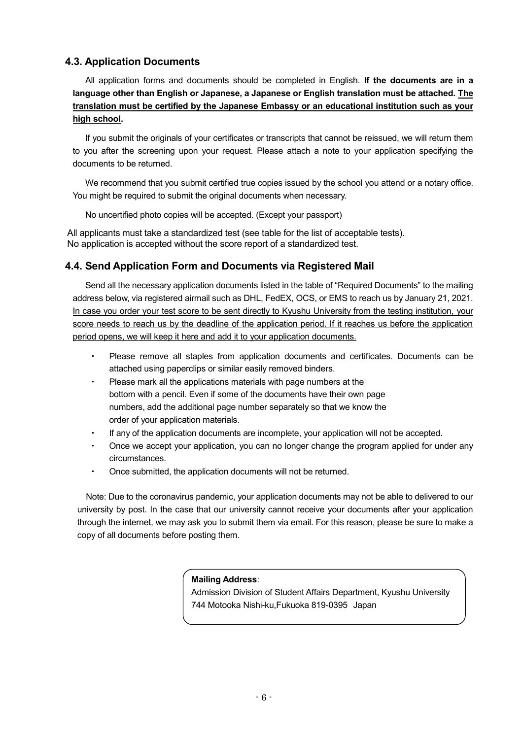#### **4.3. Application Documents**

All application forms and documents should be completed in English. **If the documents are in a language other than English or Japanese, a Japanese or English translation must be attached. The translation must be certified by the Japanese Embassy or an educational institution such as your high school.**

If you submit the originals of your certificates or transcripts that cannot be reissued, we will return them to you after the screening upon your request. Please attach a note to your application specifying the documents to be returned.

We recommend that you submit certified true copies issued by the school you attend or a notary office. You might be required to submit the original documents when necessary.

No uncertified photo copies will be accepted. (Except your passport)

All applicants must take a standardized test (see table for the list of acceptable tests). No application is accepted without the score report of a standardized test.

#### **4.4. Send Application Form and Documents via Registered Mail**

Send all the necessary application documents listed in the table of "Required Documents" to the mailing address below, via registered airmail such as DHL, FedEX, OCS, or EMS to reach us by January 21, 2021. In case you order your test score to be sent directly to Kyushu University from the testing institution, your score needs to reach us by the deadline of the application period. If it reaches us before the application period opens, we will keep it here and add it to your application documents.

- Please remove all staples from application documents and certificates. Documents can be attached using paperclips or similar easily removed binders.
- Please mark all the applications materials with page numbers at the bottom with a pencil. Even if some of the documents have their own page numbers, add the additional page number separately so that we know the order of your application materials.
- If any of the application documents are incomplete, your application will not be accepted.
- Once we accept your application, you can no longer change the program applied for under any circumstances.
- Once submitted, the application documents will not be returned.

Note: Due to the coronavirus pandemic, your application documents may not be able to delivered to our university by post. In the case that our university cannot receive your documents after your application through the internet, we may ask you to submit them via email. For this reason, please be sure to make a copy of all documents before posting them.

#### **Mailing Address**:

Admission Division of Student Affairs Department, Kyushu University 744 Motooka Nishi-ku,Fukuoka 819-0395 Japan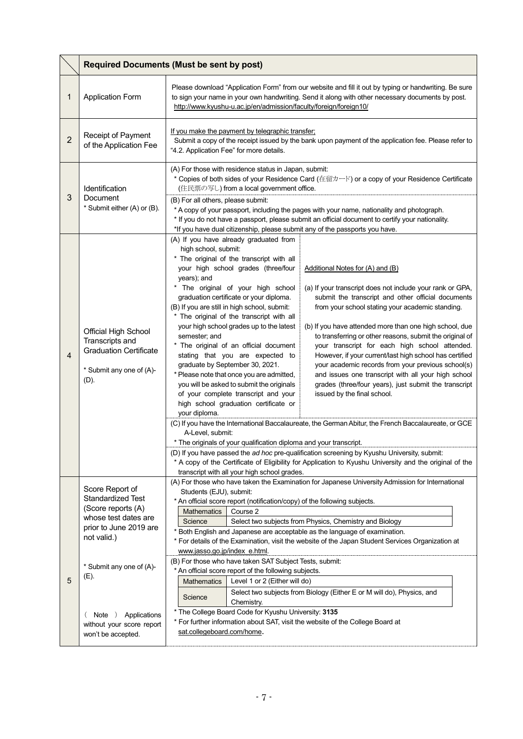|                | <b>Required Documents (Must be sent by post)</b>                                                                                                                                                 |                                                                                                                                                                                                                                                                                                                                                                                                                                                                                                                                                                                                                                                                                                                                                                                                                                                                                                                                                                                                                                                                                                                                                                                                                                                                                                                                                                                                                                                                                                                                                                                                                                                                                                                                                                                                                                           |  |
|----------------|--------------------------------------------------------------------------------------------------------------------------------------------------------------------------------------------------|-------------------------------------------------------------------------------------------------------------------------------------------------------------------------------------------------------------------------------------------------------------------------------------------------------------------------------------------------------------------------------------------------------------------------------------------------------------------------------------------------------------------------------------------------------------------------------------------------------------------------------------------------------------------------------------------------------------------------------------------------------------------------------------------------------------------------------------------------------------------------------------------------------------------------------------------------------------------------------------------------------------------------------------------------------------------------------------------------------------------------------------------------------------------------------------------------------------------------------------------------------------------------------------------------------------------------------------------------------------------------------------------------------------------------------------------------------------------------------------------------------------------------------------------------------------------------------------------------------------------------------------------------------------------------------------------------------------------------------------------------------------------------------------------------------------------------------------------|--|
| 1              | <b>Application Form</b>                                                                                                                                                                          | Please download "Application Form" from our website and fill it out by typing or handwriting. Be sure<br>to sign your name in your own handwriting. Send it along with other necessary documents by post.<br>http://www.kyushu-u.ac.jp/en/admission/faculty/foreign/foreign10/                                                                                                                                                                                                                                                                                                                                                                                                                                                                                                                                                                                                                                                                                                                                                                                                                                                                                                                                                                                                                                                                                                                                                                                                                                                                                                                                                                                                                                                                                                                                                            |  |
| $\overline{2}$ | Receipt of Payment<br>of the Application Fee                                                                                                                                                     | If you make the payment by telegraphic transfer;<br>Submit a copy of the receipt issued by the bank upon payment of the application fee. Please refer to<br>"4.2. Application Fee" for more details.                                                                                                                                                                                                                                                                                                                                                                                                                                                                                                                                                                                                                                                                                                                                                                                                                                                                                                                                                                                                                                                                                                                                                                                                                                                                                                                                                                                                                                                                                                                                                                                                                                      |  |
| 3              | Identification<br>Document<br>* Submit either (A) or (B).                                                                                                                                        | (A) For those with residence status in Japan, submit:<br>* Copies of both sides of your Residence Card (在留カード) or a copy of your Residence Certificate<br>(住民票の写し) from a local government office.<br>(B) For all others, please submit:<br>* A copy of your passport, including the pages with your name, nationality and photograph.<br>* If you do not have a passport, please submit an official document to certify your nationality.<br>*If you have dual citizenship, please submit any of the passports you have.                                                                                                                                                                                                                                                                                                                                                                                                                                                                                                                                                                                                                                                                                                                                                                                                                                                                                                                                                                                                                                                                                                                                                                                                                                                                                                                 |  |
| 4              | Official High School<br>Transcripts and<br><b>Graduation Certificate</b><br>* Submit any one of (A)-<br>(D).                                                                                     | (A) If you have already graduated from<br>high school, submit:<br>* The original of the transcript with all<br>your high school grades (three/four<br>Additional Notes for (A) and (B)<br>years); and<br>* The original of your high school<br>(a) If your transcript does not include your rank or GPA,<br>graduation certificate or your diploma.<br>submit the transcript and other official documents<br>(B) If you are still in high school, submit:<br>from your school stating your academic standing.<br>* The original of the transcript with all<br>your high school grades up to the latest<br>(b) If you have attended more than one high school, due<br>semester; and<br>to transferring or other reasons, submit the original of<br>* The original of an official document<br>your transcript for each high school attended.<br>stating that you are expected to<br>However, if your current/last high school has certified<br>graduate by September 30, 2021.<br>your academic records from your previous school(s)<br>* Please note that once you are admitted,<br>and issues one transcript with all your high school<br>you will be asked to submit the originals<br>grades (three/four years), just submit the transcript<br>of your complete transcript and your<br>issued by the final school.<br>high school graduation certificate or<br>your diploma.<br>(C) If you have the International Baccalaureate, the German Abitur, the French Baccalaureate, or GCE<br>A-Level, submit:<br>* The originals of your qualification diploma and your transcript.<br>(D) If you have passed the ad hoc pre-qualification screening by Kyushu University, submit:<br>* A copy of the Certificate of Eligibility for Application to Kyushu University and the original of the<br>transcript with all your high school grades. |  |
| 5              | Score Report of<br><b>Standardized Test</b><br>(Score reports (A)<br>whose test dates are<br>prior to June 2019 are<br>not valid.)<br>* Submit any one of (A)-<br>(E).<br>Note )<br>Applications | (A) For those who have taken the Examination for Japanese University Admission for International<br>Students (EJU), submit:<br>* An official score report (notification/copy) of the following subjects.<br>Course 2<br><b>Mathematics</b><br>Science<br>Select two subjects from Physics, Chemistry and Biology<br>* Both English and Japanese are acceptable as the language of examination.<br>* For details of the Examination, visit the website of the Japan Student Services Organization at<br>www.jasso.go.jp/index e.html.<br>(B) For those who have taken SAT Subject Tests, submit:<br>* An official score report of the following subjects.<br>Level 1 or 2 (Either will do)<br><b>Mathematics</b><br>Select two subjects from Biology (Either E or M will do), Physics, and<br>Science<br>Chemistry.<br>* The College Board Code for Kyushu University: 3135                                                                                                                                                                                                                                                                                                                                                                                                                                                                                                                                                                                                                                                                                                                                                                                                                                                                                                                                                                |  |
|                | without your score report<br>won't be accepted.                                                                                                                                                  | * For further information about SAT, visit the website of the College Board at<br>sat.collegeboard.com/home.                                                                                                                                                                                                                                                                                                                                                                                                                                                                                                                                                                                                                                                                                                                                                                                                                                                                                                                                                                                                                                                                                                                                                                                                                                                                                                                                                                                                                                                                                                                                                                                                                                                                                                                              |  |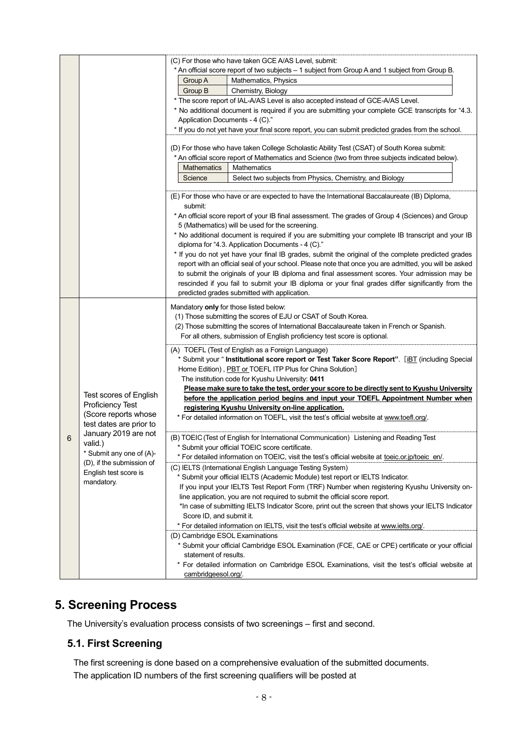|   |                           | (C) For those who have taken GCE A/AS Level, submit:                                                                                                    |
|---|---------------------------|---------------------------------------------------------------------------------------------------------------------------------------------------------|
|   |                           | * An official score report of two subjects - 1 subject from Group A and 1 subject from Group B.                                                         |
|   |                           | Mathematics, Physics<br>Group A                                                                                                                         |
|   |                           | Group B<br>Chemistry, Biology                                                                                                                           |
|   |                           | * The score report of IAL-A/AS Level is also accepted instead of GCE-A/AS Level.                                                                        |
|   |                           | * No additional document is required if you are submitting your complete GCE transcripts for "4.3.                                                      |
|   |                           | Application Documents - 4 (C)."                                                                                                                         |
|   |                           | * If you do not yet have your final score report, you can submit predicted grades from the school.                                                      |
|   |                           | (D) For those who have taken College Scholastic Ability Test (CSAT) of South Korea submit:                                                              |
|   |                           | * An official score report of Mathematics and Science (two from three subjects indicated below).                                                        |
|   |                           | <b>Mathematics</b><br><b>Mathematics</b>                                                                                                                |
|   |                           | Select two subjects from Physics, Chemistry, and Biology<br>Science                                                                                     |
|   |                           |                                                                                                                                                         |
|   |                           | (E) For those who have or are expected to have the International Baccalaureate (IB) Diploma,<br>submit:                                                 |
|   |                           | * An official score report of your IB final assessment. The grades of Group 4 (Sciences) and Group                                                      |
|   |                           | 5 (Mathematics) will be used for the screening.                                                                                                         |
|   |                           | * No additional document is required if you are submitting your complete IB transcript and your IB<br>diploma for "4.3. Application Documents - 4 (C)." |
|   |                           | * If you do not yet have your final IB grades, submit the original of the complete predicted grades                                                     |
|   |                           | report with an official seal of your school. Please note that once you are admitted, you will be asked                                                  |
|   |                           | to submit the originals of your IB diploma and final assessment scores. Your admission may be                                                           |
|   |                           | rescinded if you fail to submit your IB diploma or your final grades differ significantly from the<br>predicted grades submitted with application.      |
|   |                           |                                                                                                                                                         |
|   |                           | Mandatory only for those listed below:                                                                                                                  |
|   |                           | (1) Those submitting the scores of EJU or CSAT of South Korea.                                                                                          |
|   |                           | (2) Those submitting the scores of International Baccalaureate taken in French or Spanish.                                                              |
|   |                           | For all others, submission of English proficiency test score is optional.                                                                               |
|   |                           | (A) TOEFL (Test of English as a Foreign Language)                                                                                                       |
|   |                           | * Submit your " <b>Institutional score report or Test Taker Score Report</b> ". [iBT (including Special                                                 |
|   | Test scores of English    | Home Edition), PBT or TOEFL ITP Plus for China Solution]                                                                                                |
|   |                           | The institution code for Kyushu University: 0411                                                                                                        |
|   |                           | Please make sure to take the test, order your score to be directly sent to Kyushu University                                                            |
|   | Proficiency Test          | before the application period begins and input your TOEFL Appointment Number when                                                                       |
|   | (Score reports whose      | registering Kyushu University on-line application.<br>* For detailed information on TOEFL, visit the test's official website at www.toefl.org/.         |
|   | test dates are prior to   |                                                                                                                                                         |
| 6 | January 2019 are not      | (B) TOEIC (Test of English for International Communication) Listening and Reading Test                                                                  |
|   | valid.)                   | * Submit your official TOEIC score certificate.                                                                                                         |
|   | * Submit any one of (A)-  | * For detailed information on TOEIC, visit the test's official website at toeic.or.jp/toeic_en/.                                                        |
|   | (D), if the submission of | (C) IELTS (International English Language Testing System)                                                                                               |
|   | English test score is     | * Submit your official IELTS (Academic Module) test report or IELTS Indicator.                                                                          |
|   | mandatory.                | If you input your IELTS Test Report Form (TRF) Number when registering Kyushu University on-                                                            |
|   |                           | line application, you are not required to submit the official score report.                                                                             |
|   |                           | *In case of submitting IELTS Indicator Score, print out the screen that shows your IELTS Indicator                                                      |
|   |                           | Score ID, and submit it.                                                                                                                                |
|   |                           | * For detailed information on IELTS, visit the test's official website at www.ielts.org/.                                                               |
|   |                           | (D) Cambridge ESOL Examinations                                                                                                                         |
|   |                           | * Submit your official Cambridge ESOL Examination (FCE, CAE or CPE) certificate or your official                                                        |
|   |                           | statement of results.                                                                                                                                   |
|   |                           | * For detailed information on Cambridge ESOL Examinations, visit the test's official website at                                                         |
|   |                           | cambridgeesol.org/.                                                                                                                                     |

# **5. Screening Process**

The University's evaluation process consists of two screenings – first and second.

#### **5.1. First Screening**

The first screening is done based on a comprehensive evaluation of the submitted documents. The application ID numbers of the first screening qualifiers will be posted at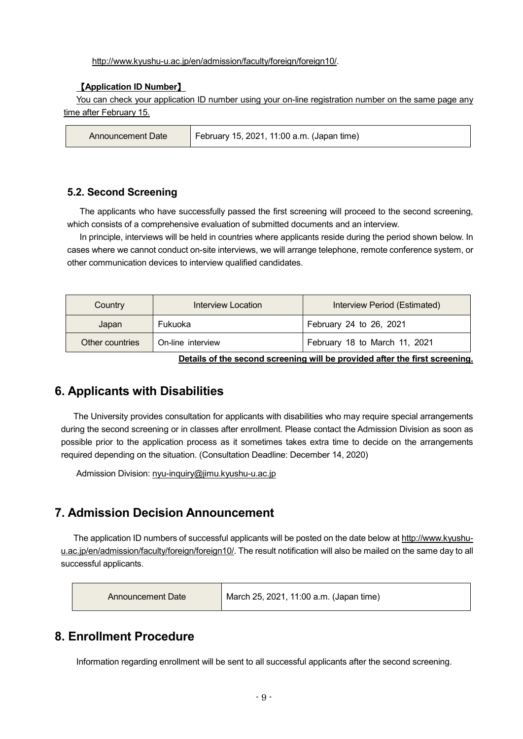[http://www.kyushu-u.ac.jp/en/admission/faculty/foreign/foreign10/.](http://www.kyushu-u.ac.jp/en/admission/faculty/foreign/foreign10/) 

#### 【**Application ID Number**】

You can check your application ID number using your on-line registration number on the same page any time after February 15.

| ∆Announcement Date | February 15, 2021, 11:00 a.m. (Japan time) |
|--------------------|--------------------------------------------|
|--------------------|--------------------------------------------|

#### **5.2. Second Screening**

The applicants who have successfully passed the first screening will proceed to the second screening, which consists of a comprehensive evaluation of submitted documents and an interview.

In principle, interviews will be held in countries where applicants reside during the period shown below. In cases where we cannot conduct on-site interviews, we will arrange telephone, remote conference system, or other communication devices to interview qualified candidates.

| Country         | Interview Location | Interview Period (Estimated)  |
|-----------------|--------------------|-------------------------------|
| Japan           | Fukuoka            | February 24 to 26, 2021       |
| Other countries | On-line interview  | February 18 to March 11, 2021 |

**Details of the second screening will be provided after the first screening.**

### **6. Applicants with Disabilities**

The University provides consultation for applicants with disabilities who may require special arrangements during the second screening or in classes after enrollment. Please contact the Admission Division as soon as possible prior to the application process as it sometimes takes extra time to decide on the arrangements required depending on the situation. (Consultation Deadline: December 14, 2020)

Admission Division[: nyu-inquiry@jimu.kyushu-u.ac.jp](mailto:nyu-inquiry@jimu.kyushu-u.ac.jp)

## **7. Admission Decision Announcement**

The application ID numbers of successful applicants will be posted on the date below at [http://www.kyushu](http://www.kyushu-u.ac.jp/en/admission/faculty/foreign/foreign10/)[u.ac.jp/en/admission/faculty/foreign/foreign10/.](http://www.kyushu-u.ac.jp/en/admission/faculty/foreign/foreign10/) The result notification will also be mailed on the same day to all successful applicants.

| Announcement Date | March 25, 2021, 11:00 a.m. (Japan time) |
|-------------------|-----------------------------------------|
|                   |                                         |

## **8. Enrollment Procedure**

Information regarding enrollment will be sent to all successful applicants after the second screening.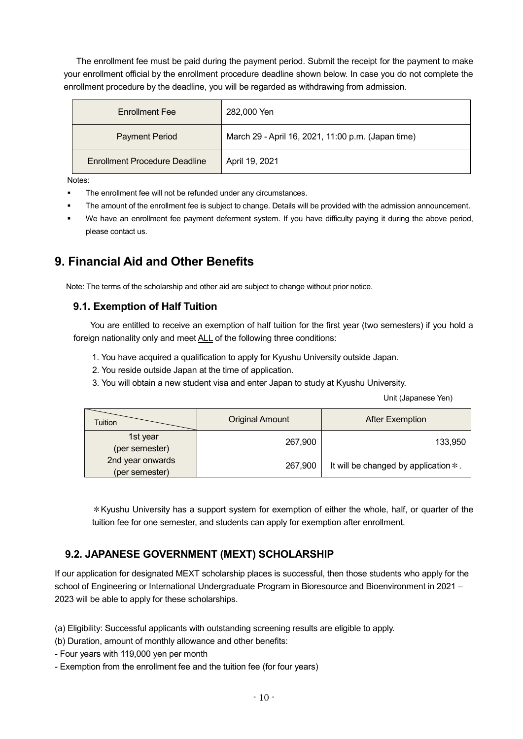The enrollment fee must be paid during the payment period. Submit the receipt for the payment to make your enrollment official by the enrollment procedure deadline shown below. In case you do not complete the enrollment procedure by the deadline, you will be regarded as withdrawing from admission.

| <b>Enrollment Fee</b>                | 282,000 Yen                                        |
|--------------------------------------|----------------------------------------------------|
| <b>Payment Period</b>                | March 29 - April 16, 2021, 11:00 p.m. (Japan time) |
| <b>Enrollment Procedure Deadline</b> | April 19, 2021                                     |

Notes:

- The enrollment fee will not be refunded under any circumstances.
- The amount of the enrollment fee is subject to change. Details will be provided with the admission announcement.
- We have an enrollment fee payment deferment system. If you have difficulty paying it during the above period, please contact us.

# **9. Financial Aid and Other Benefits**

Note: The terms of the scholarship and other aid are subject to change without prior notice.

#### **9.1. Exemption of Half Tuition**

You are entitled to receive an exemption of half tuition for the first year (two semesters) if you hold a foreign nationality only and meet ALL of the following three conditions:

- 1. You have acquired a qualification to apply for Kyushu University outside Japan.
- 2. You reside outside Japan at the time of application.
- 3. You will obtain a new student visa and enter Japan to study at Kyushu University.

Unit (Japanese Yen)

| Tuition                            | <b>Original Amount</b><br><b>After Exemption</b> |                                         |
|------------------------------------|--------------------------------------------------|-----------------------------------------|
| 1st year<br>(per semester)         | 267,900                                          | 133,950                                 |
| 2nd year onwards<br>(per semester) | 267,900                                          | It will be changed by application $*$ . |

\*Kyushu University has a support system for exemption of either the whole, half, or quarter of the tuition fee for one semester, and students can apply for exemption after enrollment.

#### **9.2. JAPANESE GOVERNMENT (MEXT) SCHOLARSHIP**

If our application for designated MEXT scholarship places is successful, then those students who apply for the school of Engineering or International Undergraduate Program in Bioresource and Bioenvironment in 2021 – 2023 will be able to apply for these scholarships.

(a) Eligibility: Successful applicants with outstanding screening results are eligible to apply.

- (b) Duration, amount of monthly allowance and other benefits:
- Four years with 119,000 yen per month
- Exemption from the enrollment fee and the tuition fee (for four years)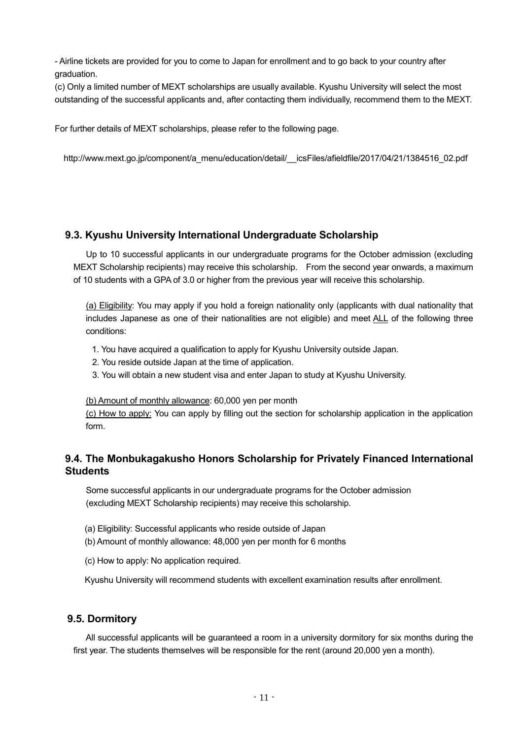- Airline tickets are provided for you to come to Japan for enrollment and to go back to your country after graduation.

(c) Only a limited number of MEXT scholarships are usually available. Kyushu University will select the most outstanding of the successful applicants and, after contacting them individually, recommend them to the MEXT.

For further details of MEXT scholarships, please refer to the following page.

[http://www.mext.go.jp/component/a\\_menu/education/detail/\\_\\_icsFiles/afieldfile/2017/04/21/1384516\\_02.pdf](http://www.mext.go.jp/component/a_menu/education/detail/__icsFiles/afieldfile/2017/04/21/1384516_02.pdf)

#### **9.3. Kyushu University International Undergraduate Scholarship**

Up to 10 successful applicants in our undergraduate programs for the October admission (excluding MEXT Scholarship recipients) may receive this scholarship. From the second year onwards, a maximum of 10 students with a GPA of 3.0 or higher from the previous year will receive this scholarship.

(a) Eligibility: You may apply if you hold a foreign nationality only (applicants with dual nationality that includes Japanese as one of their nationalities are not eligible) and meet ALL of the following three conditions:

- 1. You have acquired a qualification to apply for Kyushu University outside Japan.
- 2. You reside outside Japan at the time of application.
- 3. You will obtain a new student visa and enter Japan to study at Kyushu University.

#### (b) Amount of monthly allowance: 60,000 yen per month

(c) How to apply: You can apply by filling out the section for scholarship application in the application form.

#### **9.4. The Monbukagakusho Honors Scholarship for Privately Financed International Students**

Some successful applicants in our undergraduate programs for the October admission (excluding MEXT Scholarship recipients) may receive this scholarship.

- (a) Eligibility: Successful applicants who reside outside of Japan
- (b) Amount of monthly allowance: 48,000 yen per month for 6 months
- (c) How to apply: No application required.

Kyushu University will recommend students with excellent examination results after enrollment.

#### **9.5. Dormitory**

All successful applicants will be guaranteed a room in a university dormitory for six months during the first year. The students themselves will be responsible for the rent (around 20,000 yen a month).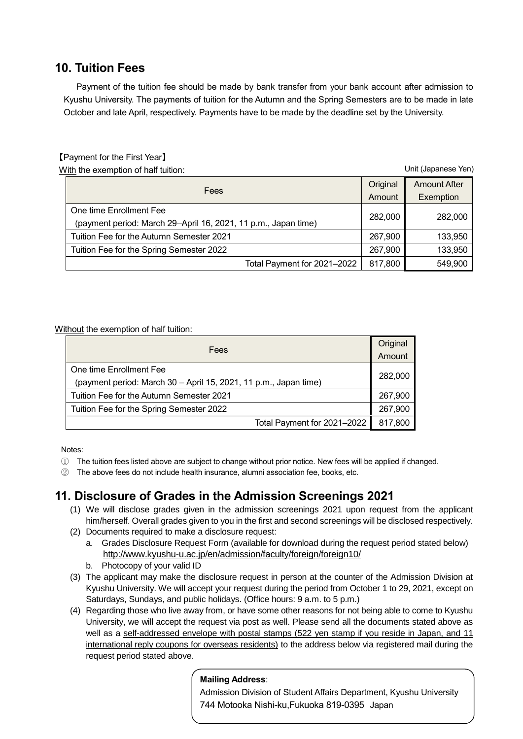## **10. Tuition Fees**

Payment of the tuition fee should be made by bank transfer from your bank account after admission to Kyushu University. The payments of tuition for the Autumn and the Spring Semesters are to be made in late October and late April, respectively. Payments have to be made by the deadline set by the University.

#### 【Payment for the First Year】

With the exemption of half tuition:

Fees **Original** Amount Amount After **Exemption** One time Enrollment Fee (payment period: March 29–April 16, 2021, <sup>11</sup> p.m., Japan time) 282,000 282,000 Tuition Fee for the Autumn Semester 2021 267,900 133,950 Tuition Fee for the Spring Semester 2022 **267,900** 133,950 Total Payment for 2021–2022 | 817,800 | 549,900 Unit (Japanese Yen)

Without the exemption of half tuition:

| Fees                                                                        |         |
|-----------------------------------------------------------------------------|---------|
| One time Enrollment Fee                                                     |         |
| 282,000<br>(payment period: March 30 - April 15, 2021, 11 p.m., Japan time) |         |
| Tuition Fee for the Autumn Semester 2021                                    |         |
| Tuition Fee for the Spring Semester 2022                                    |         |
| Total Payment for 2021-2022                                                 | 817,800 |

Notes:

- ① The tuition fees listed above are subject to change without prior notice. New fees will be applied if changed.
- ② The above fees do not include health insurance, alumni association fee, books, etc.

## **11. Disclosure of Grades in the Admission Screenings 2021**

- (1) We will disclose grades given in the admission screenings 2021 upon request from the applicant him/herself. Overall grades given to you in the first and second screenings will be disclosed respectively.
- (2) Documents required to make a disclosure request:
	- a. Grades Disclosure Request Form (available for download during the request period stated below) <http://www.kyushu-u.ac.jp/en/admission/faculty/foreign/foreign10/>
	- b. Photocopy of your valid ID
- (3) The applicant may make the disclosure request in person at the counter of the Admission Division at Kyushu University. We will accept your request during the period from October 1 to 29, 2021, except on Saturdays, Sundays, and public holidays. (Office hours: 9 a.m. to 5 p.m.)
- (4) Regarding those who live away from, or have some other reasons for not being able to come to Kyushu University, we will accept the request via post as well. Please send all the documents stated above as well as a self-addressed envelope with postal stamps (522 yen stamp if you reside in Japan, and 11 international reply coupons for overseas residents) to the address below via registered mail during the request period stated above.

#### **Mailing Address**:

י ווטוסו<br>. . . . . Admission Division of Student Affairs Department, Kyushu University 744 Motooka Nishi-ku,Fukuoka 819-0395 Japan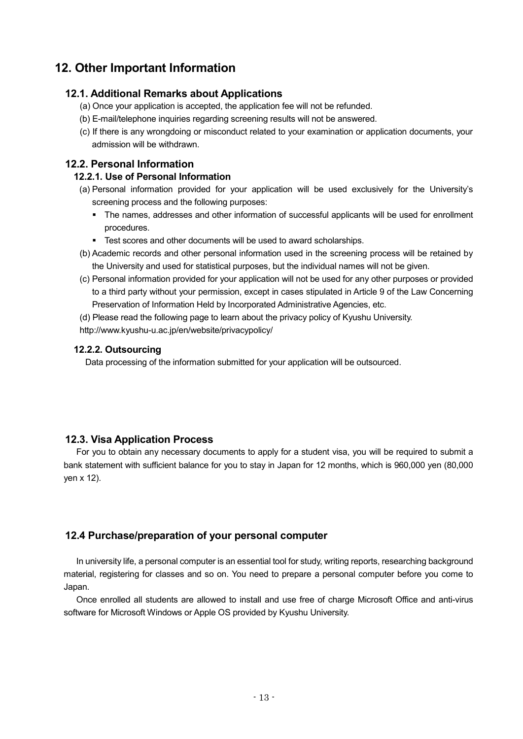# **12. Other Important Information**

#### **12.1. Additional Remarks about Applications**

- (a) Once your application is accepted, the application fee will not be refunded.
- (b) E-mail/telephone inquiries regarding screening results will not be answered.
- (c) If there is any wrongdoing or misconduct related to your examination or application documents, your admission will be withdrawn.

#### **12.2. Personal Information**

#### **12.2.1. Use of Personal Information**

- (a) Personal information provided for your application will be used exclusively for the University's screening process and the following purposes:
	- The names, addresses and other information of successful applicants will be used for enrollment procedures.
	- **Test scores and other documents will be used to award scholarships.**
- (b) Academic records and other personal information used in the screening process will be retained by the University and used for statistical purposes, but the individual names will not be given.
- (c) Personal information provided for your application will not be used for any other purposes or provided to a third party without your permission, except in cases stipulated in Article 9 of the Law Concerning Preservation of Information Held by Incorporated Administrative Agencies, etc.
- (d) Please read the following page to learn about the privacy policy of Kyushu University.
- http://www.kyushu-u.ac.jp/en/website/privacypolicy/

#### **12.2.2. Outsourcing**

Data processing of the information submitted for your application will be outsourced.

#### **12.3. Visa Application Process**

For you to obtain any necessary documents to apply for a student visa, you will be required to submit a bank statement with sufficient balance for you to stay in Japan for 12 months, which is 960,000 yen (80,000 yen x 12).

#### **12.4 Purchase/preparation of your personal computer**

In university life, a personal computer is an essential tool for study, writing reports, researching background material, registering for classes and so on. You need to prepare a personal computer before you come to Japan.

Once enrolled all students are allowed to install and use free of charge Microsoft Office and anti-virus software for Microsoft Windows or Apple OS provided by Kyushu University.